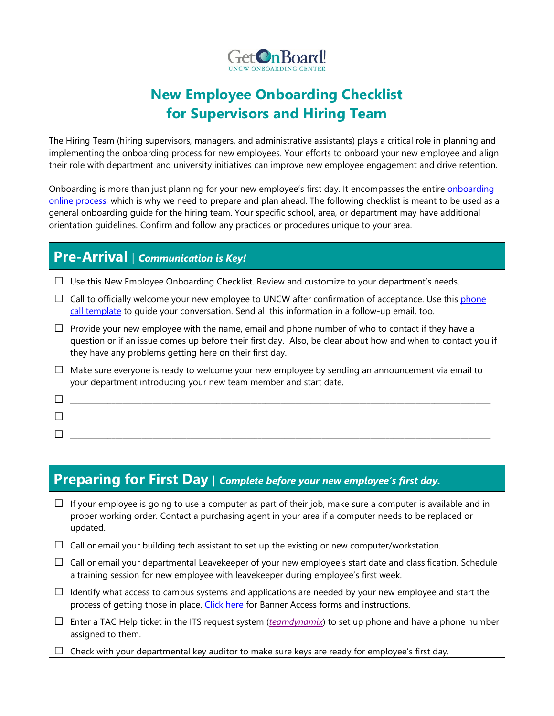

# **New Employee Onboarding Checklist for Supervisors and Hiring Team**

The Hiring Team (hiring supervisors, managers, and administrative assistants) plays a critical role in planning and implementing the onboarding process for new employees. Your efforts to onboard your new employee and align their role with department and university initiatives can improve new employee engagement and drive retention.

Onboarding is more than just planning for your new employee's first day. It encompasses the entire *onboarding* [online process,](https://uncw.edu/onboarding/gettingstarted.html) which is why we need to prepare and plan ahead. The following checklist is meant to be used as a general onboarding guide for the hiring team. Your specific school, area, or department may have additional orientation guidelines. Confirm and follow any practices or procedures unique to your area.

## **Pre-Arrival** | *Communication is Key!*

**□** \_\_\_\_\_\_\_\_\_\_\_\_\_\_\_\_\_\_\_\_\_\_\_\_\_\_\_\_\_\_\_\_\_\_\_\_\_\_\_\_\_\_\_\_\_\_\_\_\_\_\_\_\_\_\_\_\_\_\_\_\_\_\_\_\_\_\_\_\_\_\_\_\_\_\_\_\_\_\_\_\_\_\_\_\_\_\_\_\_\_\_\_\_\_\_\_\_\_\_\_\_\_\_\_\_\_\_\_\_\_\_\_

- **□** Use this New Employee Onboarding Checklist. Review and customize to your department's needs.
- $\Box$  Call to officially welcome your new employee to UNCW after confirmation of acceptance. Use this phone [call template](https://uncw.edu/onboarding/phonecall.html) to guide your conversation. Send all this information in a follow-up email, too.
- **□** Provide your new employee with the name, email and phone number of who to contact if they have a question or if an issue comes up before their first day. Also, be clear about how and when to contact you if they have any problems getting here on their first day.
- **□** Make sure everyone is ready to welcome your new employee by sending an announcement via email to your department introducing your new team member and start date.
- **□** \_\_\_\_\_\_\_\_\_\_\_\_\_\_\_\_\_\_\_\_\_\_\_\_\_\_\_\_\_\_\_\_\_\_\_\_\_\_\_\_\_\_\_\_\_\_\_\_\_\_\_\_\_\_\_\_\_\_\_\_\_\_\_\_\_\_\_\_\_\_\_\_\_\_\_\_\_\_\_\_\_\_\_\_\_\_\_\_\_\_\_\_\_\_\_\_\_\_\_\_\_\_\_\_\_\_\_\_\_\_\_\_ **□** \_\_\_\_\_\_\_\_\_\_\_\_\_\_\_\_\_\_\_\_\_\_\_\_\_\_\_\_\_\_\_\_\_\_\_\_\_\_\_\_\_\_\_\_\_\_\_\_\_\_\_\_\_\_\_\_\_\_\_\_\_\_\_\_\_\_\_\_\_\_\_\_\_\_\_\_\_\_\_\_\_\_\_\_\_\_\_\_\_\_\_\_\_\_\_\_\_\_\_\_\_\_\_\_\_\_\_\_\_\_\_\_

## **Preparing for First Day** | *Complete before your new employee's first day.*

- **□** If your employee is going to use a computer as part of their job, make sure a computer is available and in proper working order. Contact a purchasing agent in your area if a computer needs to be replaced or updated.
- **□** Call or email your building tech assistant to set up the existing or new computer/workstation.
- **□** Call or email your departmental Leavekeeper of your new employee's start date and classification. Schedule a training session for new employee with leavekeeper during employee's first week.
- **□** Identify what access to campus systems and applications are needed by your new employee and start the process of getting those in place. [Click here](http://uncw.edu/itsd/working/bannerforms.html) for Banner Access forms and instructions.
- **□** Enter a TAC Help ticket in the ITS request system (*[teamdynamix](https://uncw.teamdynamix.com/TDClient/Requests/ServiceCatalog)*) to set up phone and have a phone number assigned to them.
- **□** Check with your departmental key auditor to make sure keys are ready for employee's first day.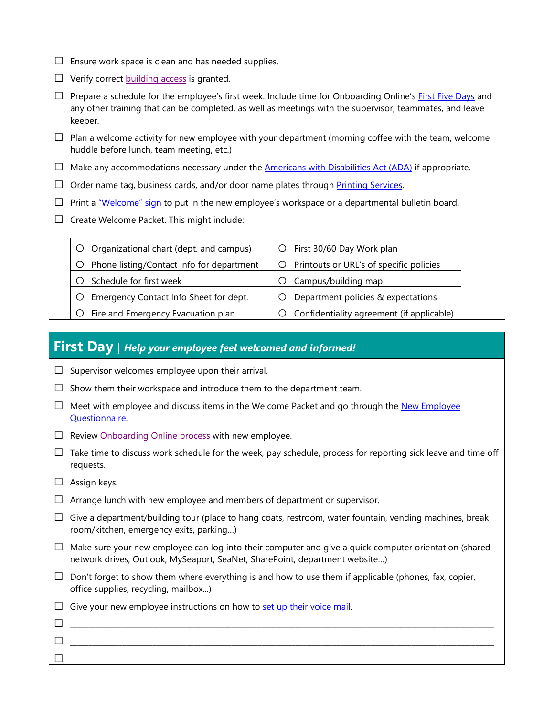- **□** Ensure work space is clean and has needed supplies.
- **□** Verify correct [building access](http://uncw.edu/onecard/employeeaccess.html) is granted.
- **□** Prepare a schedule for the employee's first week. Include time for Onboarding Online's [First Five Days](https://uncw.edu/onboarding/virtualfivedays/welcome.html) and any other training that can be completed, as well as meetings with the supervisor, teammates, and leave keeper.
- $\Box$  Plan a welcome activity for new employee with your department (morning coffee with the team, welcome huddle before lunch, team meeting, etc.)
- **□** Make any accommodations necessary under the [Americans with Disabilities Act \(ADA\)](http://www.uncw.edu/ada/) if appropriate.
- □ Order name tag, business cards, and/or door name plates through Printing Services.
- □ Print a <u>"Welcome" sign</u> to put in the new employee's workspace or a departmental bulletin board.
- **□** Create Welcome Packet. This might include:

| Organizational chart (dept. and campus)   | First 30/60 Day Work plan<br>Ő.           |
|-------------------------------------------|-------------------------------------------|
| Phone listing/Contact info for department | Printouts or URL's of specific policies   |
| Schedule for first week                   | Campus/building map                       |
| Emergency Contact Info Sheet for dept.    | Department policies & expectations        |
| Fire and Emergency Evacuation plan        | Confidentiality agreement (if applicable) |

#### **First Day** | *Help your employee feel welcomed and informed!*

- **□** Supervisor welcomes employee upon their arrival.
- **□** Show them their workspace and introduce them to the department team.
- □ Meet with employee and discuss items in the Welcome Packet and go through the <u>New Employee</u> [Questionnaire.](https://uncw.edu/onboarding/virtualfivedays/documents/day1-questionnaire.pdf)
- **□** Review [Onboarding Online process](https://uncw.edu/onboarding/gettingstarted.html) with new employee.
- **□** Take time to discuss work schedule for the week, pay schedule, process for reporting sick leave and time off requests.
- **□** Assign keys.
- **□** Arrange lunch with new employee and members of department or supervisor.
- **□** Give a department/building tour (place to hang coats, restroom, water fountain, vending machines, break room/kitchen, emergency exits, parking…)
- **□** Make sure your new employee can log into their computer and give a quick computer orientation (shared network drives, Outlook, MySeaport, SeaNet, SharePoint, department website…)

**□** \_\_\_\_\_\_\_\_\_\_\_\_\_\_\_\_\_\_\_\_\_\_\_\_\_\_\_\_\_\_\_\_\_\_\_\_\_\_\_\_\_\_\_\_\_\_\_\_\_\_\_\_\_\_\_\_\_\_\_\_\_\_\_\_\_\_\_\_\_\_\_\_\_\_\_\_\_\_\_\_\_\_\_\_\_\_\_\_\_\_\_\_\_\_\_\_\_\_\_\_\_\_\_\_\_\_\_\_\_\_\_\_\_ **□** \_\_\_\_\_\_\_\_\_\_\_\_\_\_\_\_\_\_\_\_\_\_\_\_\_\_\_\_\_\_\_\_\_\_\_\_\_\_\_\_\_\_\_\_\_\_\_\_\_\_\_\_\_\_\_\_\_\_\_\_\_\_\_\_\_\_\_\_\_\_\_\_\_\_\_\_\_\_\_\_\_\_\_\_\_\_\_\_\_\_\_\_\_\_\_\_\_\_\_\_\_\_\_\_\_\_\_\_\_\_\_\_\_

- $\Box$  Don't forget to show them where everything is and how to use them if applicable (phones, fax, copier, office supplies, recycling, mailbox...)
- □ Give your new employee instructions on how to [set up their voice mail.](https://uncw.teamdynamix.com/TDClient/1875/Portal/KB/ArticleDet?ID=29251)

**□** \_\_\_\_\_\_\_\_\_\_\_\_\_\_\_\_\_\_\_\_\_\_\_\_\_\_\_\_\_\_\_\_\_\_\_\_\_\_\_\_\_\_\_\_\_\_\_\_\_\_\_\_\_\_\_\_\_\_\_\_\_\_\_\_\_\_\_\_\_\_\_\_\_\_\_\_\_\_\_\_\_\_\_\_\_\_\_\_\_\_\_\_\_\_\_\_\_\_\_\_\_\_\_\_\_\_\_\_\_\_\_\_\_